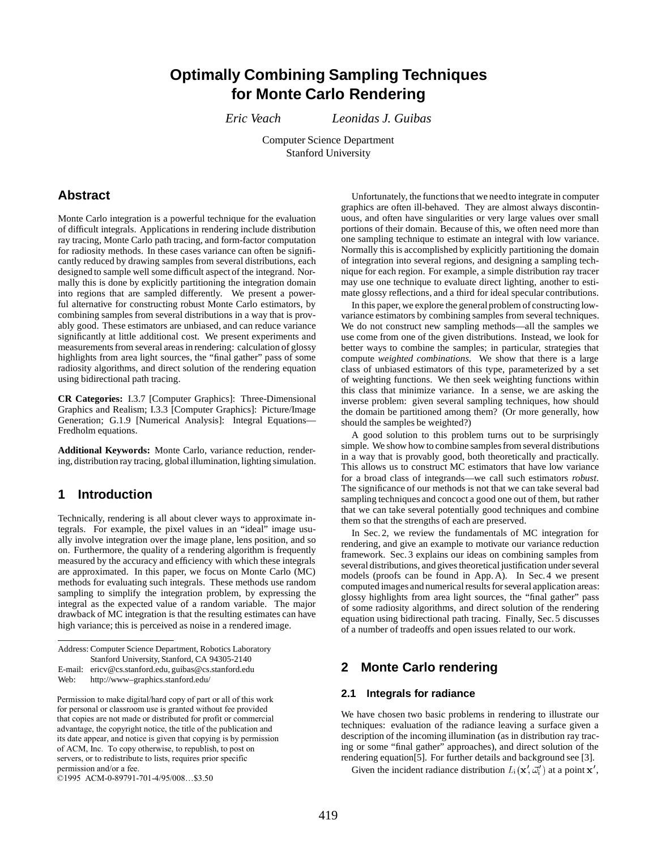# **Optimally Combining Sampling Techniques for Monte Carlo Rendering**

*Eric Veach Leonidas J. Guibas*

Computer Science Department Stanford University

### **Abstract**

Monte Carlo integration is a powerful technique for the evaluation of difficult integrals. Applications in rendering include distribution ray tracing, Monte Carlo path tracing, and form-factor computation for radiosity methods. In these cases variance can often be significantly reduced by drawing samples from several distributions, each designed to sample well some difficult aspect of the integrand. Normally this is done by explicitly partitioning the integration domain into regions that are sampled differently. We present a powerful alternative for constructing robust Monte Carlo estimators, by combining samples from several distributions in a way that is provably good. These estimators are unbiased, and can reduce variance significantly at little additional cost. We present experiments and measurements from several areas in rendering: calculation of glossy highlights from area light sources, the "final gather" pass of some radiosity algorithms, and direct solution of the rendering equation using bidirectional path tracing.

**CR Categories:** I.3.7 [Computer Graphics]: Three-Dimensional Graphics and Realism; I.3.3 [Computer Graphics]: Picture/Image Generation; G.1.9 [Numerical Analysis]: Integral Equations— Fredholm equations.

**Additional Keywords:** Monte Carlo, variance reduction, rendering, distribution ray tracing, global illumination, lighting simulation.

# **1 Introduction**

Technically, rendering is all about clever ways to approximate integrals. For example, the pixel values in an "ideal" image usually involve integration over the image plane, lens position, and so on. Furthermore, the quality of a rendering algorithm is frequently measured by the accuracy and efficiency with which these integrals are approximated. In this paper, we focus on Monte Carlo (MC) methods for evaluating such integrals. These methods use random sampling to simplify the integration problem, by expressing the integral as the expected value of a random variable. The major drawback of MC integration is that the resulting estimates can have high variance; this is perceived as noise in a rendered image.

Unfortunately, the functions that we needto integrate in computer graphics are often ill-behaved. They are almost always discontinuous, and often have singularities or very large values over small portions of their domain. Because of this, we often need more than one sampling technique to estimate an integral with low variance. Normally this is accomplished by explicitly partitioning the domain of integration into several regions, and designing a sampling technique for each region. For example, a simple distribution ray tracer may use one technique to evaluate direct lighting, another to estimate glossy reflections, and a third for ideal specular contributions.

In this paper, we explore the general problem of constructing lowvariance estimators by combining samples from several techniques. We do not construct new sampling methods—all the samples we use come from one of the given distributions. Instead, we look for better ways to combine the samples; in particular, strategies that compute *weighted combinations*. We show that there is a large class of unbiased estimators of this type, parameterized by a set of weighting functions. We then seek weighting functions within this class that minimize variance. In a sense, we are asking the inverse problem: given several sampling techniques, how should the domain be partitioned among them? (Or more generally, how should the samples be weighted?)

A good solution to this problem turns out to be surprisingly simple. We show how to combine samples from several distributions in a way that is provably good, both theoretically and practically. This allows us to construct MC estimators that have low variance for a broad class of integrands—we call such estimators *robust*. The significance of our methods is not that we can take several bad sampling techniques and concoct a good one out of them, but rather that we can take several potentially good techniques and combine them so that the strengths of each are preserved.

In Sec. 2, we review the fundamentals of MC integration for rendering, and give an example to motivate our variance reduction framework. Sec. 3 explains our ideas on combining samples from several distributions, and gives theoretical justification under several models (proofs can be found in App. A). In Sec.4 we present computed images and numerical results for several application areas: glossy highlights from area light sources, the "final gather" pass of some radiosity algorithms, and direct solution of the rendering equation using bidirectional path tracing. Finally, Sec.5 discusses of a number of tradeoffs and open issues related to our work.

### **2 Monte Carlo rendering**

### **2.1 Integrals for radiance**

We have chosen two basic problems in rendering to illustrate our techniques: evaluation of the radiance leaving a surface given a description of the incoming illumination (as in distribution ray tracing or some "final gather" approaches), and direct solution of the rendering equation[5]. For further details and background see [3].

Given the incident radiance distribution  $L_i(\mathbf{x}', \vec{\omega}_i')$  at a point  $\mathbf{x}',$ 

Address: Computer Science Department, Robotics Laboratory Stanford University, Stanford, CA 94305-2140

E-mail: ericv@cs.stanford.edu, guibas@cs.stanford.edu

Web: http://www–graphics.stanford.edu/

Permission to make digital/hard copy of part or all of this work for personal or classroom use is granted without fee provided that copies are not made or distributed for profit or commercial advantage, the copyright notice, the title of the publication and its date appear, and notice is given that copying is by permission of ACM, Inc. To copy otherwise, to republish, to post on servers, or to redistribute to lists, requires prior specific permission and/or a fee.

<sup>©1995</sup> ACM-0-89791-701-4/95/008...\$3.50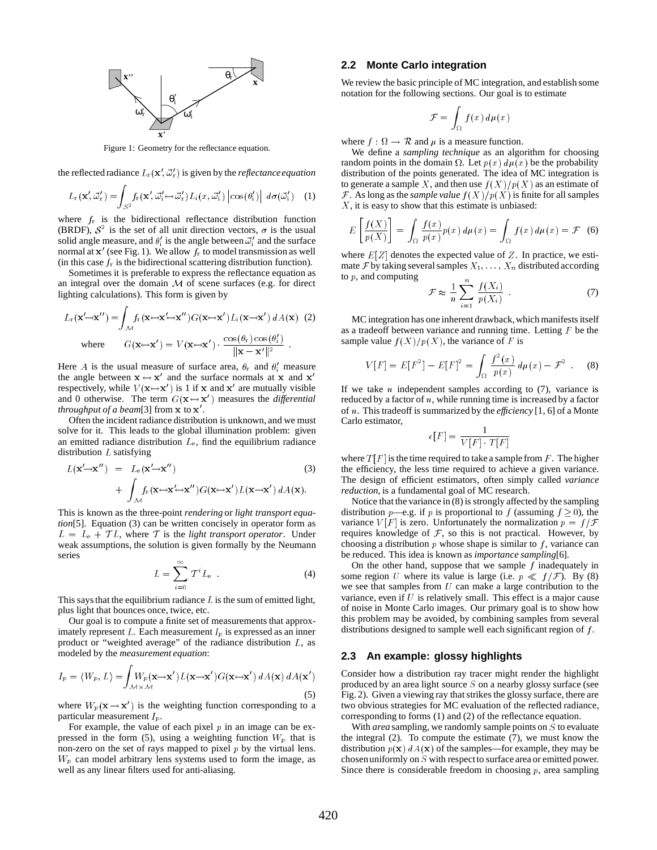

Figure 1: Geometry for the reflectance equation.

the reflected radiance  $L_{\rm r}(\mathbf{x}', \vec{\omega}_r')$  is given by the *reflectance equation* 

$$
L_{\rm r}(\mathbf{x}',\vec{\omega}_r') = \int_{S^2} f_{\rm r}(\mathbf{x}',\vec{\omega}_i' \leftrightarrow \vec{\omega}_r') L_{\rm i}(x,\vec{\omega}_i') \left| \cos(\theta_i') \right| \, d\sigma(\vec{\omega}_i') \quad (1)
$$

where  $f_r$  is the bidirectional reflectance distribution function (BRDF),  $S^2$  is the set of all unit direction vectors,  $\sigma$  is the usual solid angle measure, and  $\theta_i'$  is the angle between  $\vec{\omega}_i'$  and the surface in a component of the component of the component of the component of the component of the component of the component of the component of the component of the component of the component of the component of the component of <sup>i</sup> normal at  $x'$  (see Fig. 1). We allow  $f<sub>r</sub>$  to model transmission as well (in this case  $f_r$  is the bidirectional scattering distribution function).

Sometimes it is preferable to express the reflectance equation as an integral over the domain  $M$  of scene surfaces (e.g. for direct lighting calculations). This form is given by

$$
L_{\mathbf{r}}(\mathbf{x}' \to \mathbf{x}'') = \int_{\mathcal{M}} f_{\mathbf{r}}(\mathbf{x} \leftrightarrow \mathbf{x}' \to \mathbf{x}'') G(\mathbf{x} \leftrightarrow \mathbf{x}') L_{\mathbf{i}}(\mathbf{x} \to \mathbf{x}') dA(\mathbf{x}) \tag{2}
$$
  
where 
$$
G(\mathbf{x} \leftrightarrow \mathbf{x}') = V(\mathbf{x} \leftrightarrow \mathbf{x}') \cdot \frac{\cos(\theta_{\mathbf{r}}) \cos(\theta_{\mathbf{i}}')}{\|\mathbf{x} - \mathbf{x}'\|^2}.
$$

Here A is the usual measure of surface area,  $\theta_r$  and  $\theta'_i$  measure the angle between  $x \leftrightarrow x'$  and the surface normals at x and  $x'$ respectively, while  $V(\mathbf{x} \leftrightarrow \mathbf{x}')$  is 1 if x and  $\mathbf{x}'$  are mutually visible and 0 otherwise. The term  $G(x \leftrightarrow x')$  measures the *differential throughput of a beam*[3] from  $x$  to  $x'$ .

Often the incident radiance distribution is unknown, and we must solve for it. This leads to the global illumination problem: given an emitted radiance distribution  $L_{e}$ , find the equilibrium radiance distribution  $L$  satisfying

$$
L(\mathbf{x}' \to \mathbf{x}'') = L_e(\mathbf{x}' \to \mathbf{x}'')
$$
(3)  
+ 
$$
\int_{\mathcal{M}} f_r(\mathbf{x} \leftrightarrow \mathbf{x}' \leftrightarrow \mathbf{x}'') G(\mathbf{x} \leftrightarrow \mathbf{x}') L(\mathbf{x} \to \mathbf{x}') dA(\mathbf{x}).
$$

This is known as the three-point *rendering* or *light transport equation*[5]. Equation (3) can be written concisely in operator form as  $L = L_e + T L$ , where T is the *light transport operator*. Under weak assumptions, the solution is given formally by the Neumann series

$$
L = \sum_{i=0}^{\infty} T^i L_e \tag{4}
$$

This says that the equilibrium radiance  $L$  is the sum of emitted light, plus light that bounces once, twice, etc.

Our goal is to compute a finite set of measurements that approximately represent  $L$ . Each measurement  $I_p$  is expressed as an inner product or "weighted average" of the radiance distribution L, as modeled by the *measurement equation*:

$$
I_p = \langle W_p, L \rangle = \int_{\mathcal{M} \times \mathcal{M}} W_p(\mathbf{x} \to \mathbf{x}') L(\mathbf{x} \to \mathbf{x}') G(\mathbf{x} \to \mathbf{x}') dA(\mathbf{x}) dA(\mathbf{x}') \tag{5}
$$

**Zakarta Communication Communication** 

where  $W_p(\mathbf{x}\rightarrow \mathbf{x}')$  is the weighting function corresponding to a particular measurement  $I_p$ .

For example, the value of each pixel  $p$  in an image can be expressed in the form (5), using a weighting function  $W_p$  that is non-zero on the set of rays mapped to pixel  $p$  by the virtual lens.  $W_p$  can model arbitrary lens systems used to form the image, as well as any linear filters used for anti-aliasing.

### **2.2 Monte Carlo integration**

We review the basic principle of MC integration, and establish some notation for the following sections. Our goal is to estimate

$$
\mathcal{F} = \int_{\Omega} f(x) \, d\mu(x)
$$

where  $f : \Omega \to \mathcal{R}$  and  $\mu$  is a measure function.

We define a *sampling technique* as an algorithm for choosing random points in the domain  $\Omega$ . Let  $p(x) d\mu(x)$  be the probability distribution of the points generated. The idea of MC integration is to generate a sample X, and then use  $f(X)/p(X)$  as an estimate of F. As long as the *sample value*  $f(X)/p(X)$  is finite for all samples  $X$ , it is easy to show that this estimate is unbiased:

$$
E\left[\frac{f(X)}{p(X)}\right] = \int_{\Omega} \frac{f(x)}{p(x)} p(x) d\mu(x) = \int_{\Omega} f(x) d\mu(x) = \mathcal{F}
$$
 (6)

where  $E[Z]$  denotes the expected value of Z. In practice, we estimate F by taking several samples  $X_1, \ldots, X_n$  distributed according to  $p$ , and computing

$$
\mathcal{F} \approx \frac{1}{n} \sum_{i=1}^{n} \frac{f(X_i)}{p(X_i)} \tag{7}
$$

MC integration has one inherent drawback,which manifests itself as a tradeoff between variance and running time. Letting  $F$  be the sample value  $f(X)/p(X)$ , the variance of F is

$$
V[F] = E[F2] - E[F]2 = \int_{\Omega} \frac{f^{2}(x)}{p(x)} d\mu(x) - \mathcal{F}^{2} .
$$
 (8)

If we take  $n$  independent samples according to  $(7)$ , variance is reduced by a factor of  $n$ , while running time is increased by a factor of n. This tradeoff is summarized by the *efficiency* [1, 6] of a Monte Carlo estimator,

$$
\epsilon[F] = \frac{1}{V[F] \cdot T[F]}
$$

where  $T[F]$  is the time required to take a sample from F. The higher the efficiency, the less time required to achieve a given variance. The design of efficient estimators, often simply called *variance reduction*, is a fundamental goal of MC research.

Notice that the variance in (8) is strongly affected by the sampling distribution *p*—e.g. if *p* is proportional to *f* (assuming  $f \ge 0$ ), the variance  $V[F]$  is zero. Unfortunately the normalization  $p = f/F$ requires knowledge of  $F$ , so this is not practical. However, by choosing a distribution  $p$  whose shape is similar to  $f$ , variance can be reduced. This idea is known as *importance sampling*[6].

On the other hand, suppose that we sample  $f$  inadequately in some region U where its value is large (i.e.  $p \ll f/\mathcal{F}$ ). By (8) we see that samples from  $U$  can make a large contribution to the variance, even if  $U$  is relatively small. This effect is a major cause of noise in Monte Carlo images. Our primary goal is to show how this problem may be avoided, by combining samples from several distributions designed to sample well each significant region of f.

### **2.3 An example: glossy highlights**

Consider how a distribution ray tracer might render the highlight produced by an area light source  $S$  on a nearby glossy surface (see Fig. 2). Given a viewing ray that strikes the glossy surface, there are two obvious strategies for MC evaluation of the reflected radiance, corresponding to forms (1) and (2) of the reflectance equation.

With *area* sampling, we randomly sample points on S to evaluate the integral (2). To compute the estimate (7), we must know the distribution  $p(x)$  dA(x) of the samples—for example, they may be chosenuniformly on S with respectto surface area or emitted power. Since there is considerable freedom in choosing  $p$ , area sampling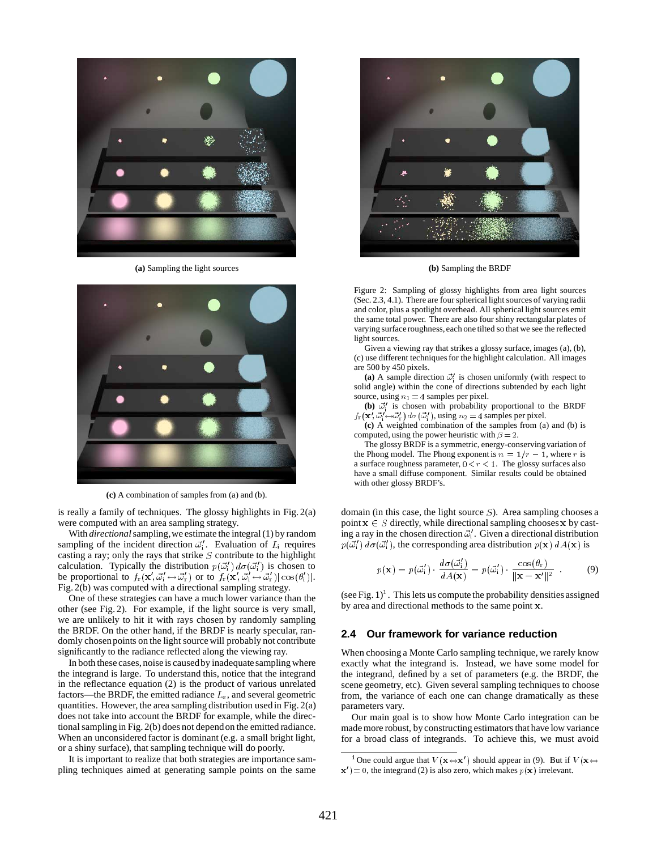

**(a)** Sampling the light sources **(b)** Sampling the BRDF



**(c)** A combination of samples from (a) and (b).

is really a family of techniques. The glossy highlights in Fig. 2(a) were computed with an area sampling strategy.

With *directional*sampling,we estimate the integral (1) by random sampling of the incident direction  $\vec{\omega}_i'$ . Evaluation of  $L_i$  requires casting a ray; only the rays that strike  $S$  contribute to the highlight calculation. Typically the distribution  $p(\vec{\omega}_i') d\sigma(\vec{\omega}_i')$  is chosen to be proportional to  $f_{\rm r}(\mathbf{x}', \vec{\omega}'_i \leftrightarrow \vec{\omega}'_{\rm r})$  or to  $f_{\rm r}(\mathbf{x}', \vec{\omega}'_i \leftrightarrow \vec{\omega}'_{\rm r}) |\cos(\theta'_i)|$ . Fig. 2(b) was computed with a directional sampling strategy.

One of these strategies can have a much lower variance than the other (see Fig. 2). For example, if the light source is very small, we are unlikely to hit it with rays chosen by randomly sampling the BRDF. On the other hand, if the BRDF is nearly specular, randomly chosen points on the light source will probably not contribute significantly to the radiance reflected along the viewing ray.

In both these cases, noise is caused by inadequate sampling where the integrand is large. To understand this, notice that the integrand in the reflectance equation (2) is the product of various unrelated factors—the BRDF, the emitted radiance  $L<sub>e</sub>$ , and several geometric quantities. However, the area sampling distribution used in Fig. 2(a) does not take into account the BRDF for example, while the directional sampling in Fig. 2(b) does not dependon the emitted radiance. When an unconsidered factor is dominant (e.g. a small bright light, or a shiny surface), that sampling technique will do poorly.

It is important to realize that both strategies are importance sampling techniques aimed at generating sample points on the same



Figure 2: Sampling of glossy highlights from area light sources (Sec. 2.3, 4.1). There are four spherical light sources of varying radii and color, plus a spotlight overhead. All spherical light sources emit the same total power. There are also four shiny rectangular plates of varying surface roughness, each one tilted so that we see the reflected light sources.

Given a viewing ray that strikes a glossy surface, images (a), (b), (c) use different techniques for the highlight calculation. All images are 500 by 450 pixels.

(a) A sample direction  $\vec{\omega}$  is chosen uniformly (with respect to solid angle) within the cone of directions subtended by each light source, using  $n_1 = 4$  samples per pixel.

**(b)**  $\vec{\omega}_i'$  is chosen with probability proportional to the BRDF  $f_{\rm r}(\mathbf{x}', \vec{\omega}'_1 \rightarrow \vec{\omega}'_{\rm r}) d\sigma(\vec{\omega}'_1)$ , using  $n_2 = 4$  samples per pixel.

**(c)** A weighted combination of the samples from (a) and (b) is computed, using the power heuristic with  $\beta = 2$ .

The glossy BRDF is a symmetric, energy-conserving variation of the Phong model. The Phong exponent is  $n = 1/r - 1$ , where r is a surface roughness parameter,  $0 < r < 1$ . The glossy surfaces also have a small diffuse component. Similar results could be obtained with other glossy BRDF's.

domain (in this case, the light source  $S$ ). Area sampling chooses a point  $x \in S$  directly, while directional sampling chooses x by casting a ray in the chosen direction  $\vec{\omega}_i'$ . Given a directional distribution  $p(\vec{\omega}_i') d\sigma(\vec{\omega}_i')$ , the corresponding area distribution  $p(\mathbf{x}) dA(\mathbf{x})$  is

$$
p(\mathbf{x}) = p(\vec{\omega}_i') \cdot \frac{d\sigma(\vec{\omega}_i')}{dA(\mathbf{x})} = p(\vec{\omega}_i') \cdot \frac{\cos(\theta_r)}{\|\mathbf{x} - \mathbf{x'}\|^2} . \tag{9}
$$

(see Fig.  $1$ )<sup>1</sup>. This lets us compute the probability densities assigned by area and directional methods to the same point <sup>x</sup>.

#### **2.4 Our framework for variance reduction**

When choosing a Monte Carlo sampling technique, we rarely know exactly what the integrand is. Instead, we have some model for the integrand, defined by a set of parameters (e.g. the BRDF, the scene geometry, etc). Given several sampling techniques to choose from, the variance of each one can change dramatically as these parameters vary.

Our main goal is to show how Monte Carlo integration can be made more robust, by constructing estimators that have low variance for a broad class of integrands. To achieve this, we must avoid

<sup>&</sup>lt;sup>1</sup> One could argue that  $V(\mathbf{x} \leftrightarrow \mathbf{x}')$  should appear in (9). But if  $V(\mathbf{x} \leftrightarrow \mathbf{x}')$  $x' = 0$ , the integrand (2) is also zero, which makes  $p(x)$  irrelevant.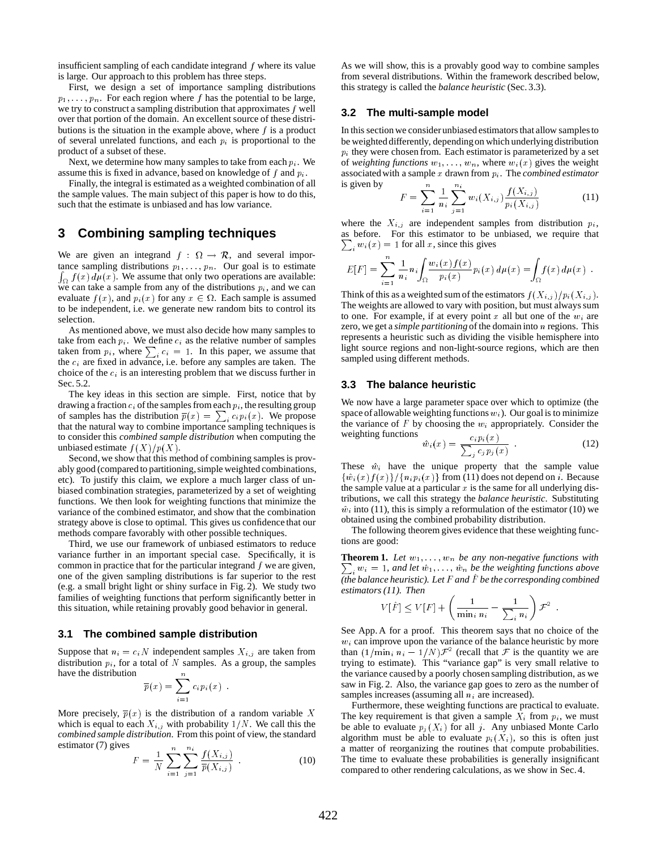insufficient sampling of each candidate integrand  $f$  where its value is large. Our approach to this problem has three steps.

First, we design a set of importance sampling distributions  $p_1, \ldots, p_n$ . For each region where f has the potential to be large, we try to construct a sampling distribution that approximates  $f$  well over that portion of the domain. An excellent source of these distributions is the situation in the example above, where  $f$  is a product of several unrelated functions, and each  $p_i$  is proportional to the product of a subset of these.

Next, we determine how many samples to take from each  $p_i$ . We assume this is fixed in advance, based on knowledge of f and  $p_i$ .

Finally, the integral is estimated as a weighted combination of all the sample values. The main subject of this paper is how to do this, such that the estimate is unbiased and has low variance.

# **3 Combining sampling techniques**

We are given an integrand  $f : \Omega \to \mathcal{R}$ , and several impor- $\int_{\Omega} f(x) d\mu(x)$ . We assume that only two operations are available: tance sampling distributions  $p_1, \ldots, p_n$ . Our goal is to estimate we can take a sample from any of the distributions  $p_i$ , and we can evaluate  $f(x)$ , and  $p_i(x)$  for any  $x \in \Omega$ . Each sample is assumed to be independent, i.e. we generate new random bits to control its selection.

As mentioned above, we must also decide how many samples to take from each  $p_i$ . We define  $c_i$  as the relative number of samples taken from  $p_i$ , where  $\sum_i c_i = 1$ . In this paper, we assume that the  $c_i$  are fixed in advance, i.e. before any samples are taken. The choice of the  $c_i$  is an interesting problem that we discuss further in Sec. 5.2.

The key ideas in this section are simple. First, notice that by drawing a fraction  $c_i$  of the samples from each  $p_i$ , the resulting group of samples has the distribution  $\overline{p}(x) = \sum_i c_i p_i(x)$ . We propose that the natural way to combine importance sampling techniques is to consider this *combined sample distribution* when computing the unbiased estimate  $f(X)/p(X)$ .

Second, we show that this method of combining samples is provably good (compared to partitioning, simple weighted combinations, etc). To justify this claim, we explore a much larger class of unbiased combination strategies, parameterized by a set of weighting functions. We then look for weighting functions that minimize the variance of the combined estimator, and show that the combination strategy above is close to optimal. This gives us confidence that our methods compare favorably with other possible techniques.

Third, we use our framework of unbiased estimators to reduce variance further in an important special case. Specifically, it is common in practice that for the particular integrand  $f$  we are given, one of the given sampling distributions is far superior to the rest (e.g. a small bright light or shiny surface in Fig. 2). We study two families of weighting functions that perform significantly better in this situation, while retaining provably good behavior in general.

### **3.1 The combined sample distribution**

Suppose that  $n_i = c_i N$  independent samples  $X_{i,j}$  are taken from distribution  $p_i$ , for a total of N samples. As a group, the samples have the distribution

$$
\overline{p}(x) = \sum_{i=1}^{n} c_i p_i(x) .
$$

More precisely,  $\overline{p}(x)$  is the distribution of a random variable X which is equal to each  $X_{i,j}$  with probability  $1/N$ . We call this the *combined sample distribution*. From this point of view, the standard estimator (7) gives

$$
F = \frac{1}{N} \sum_{i=1}^{n} \sum_{j=1}^{n_i} \frac{f(X_{i,j})}{\overline{p}(X_{i,j})} \tag{10}
$$

As we will show, this is a provably good way to combine samples from several distributions. Within the framework described below, this strategy is called the *balance heuristic* (Sec. 3.3).

### **3.2 The multi-sample model**

In this section we considerunbiased estimators that allow samples to be weighted differently, dependingon which underlying distribution  $p_i$  they were chosen from. Each estimator is parameterized by a set of *weighting functions*  $w_1, \ldots, w_n$ , where  $w_i(x)$  gives the weight associated with a sample <sup>x</sup> drawn from pi . The *combined estimator* is given by  $\overline{\mathbf{r}}$ 

$$
F = \sum_{i=1}^{n} \frac{1}{n_i} \sum_{j=1}^{n_1} w_i(X_{i,j}) \frac{f(X_{i,j})}{p_i(X_{i,j})}
$$
(11)

where the  $X_{i,j}$  are independent samples from distribution  $p_i$ , as before. For this estimator to be unbiased, we require that  $\sum_i w_i(x) = 1$  for all x, since this gives

$$
E[F] = \sum_{i=1}^{n} \frac{1}{n_i} n_i \int_{\Omega} \frac{w_i(x) f(x)}{p_i(x)} p_i(x) d\mu(x) = \int_{\Omega} f(x) d\mu(x) .
$$

Think of this as a weighted sum of the estimators  $f(X_{i,j})/p_i(X_{i,j})$ . The weights are allowed to vary with position, but must always sum to one. For example, if at every point x all but one of the  $w_i$  are zero, we get a *simple partitioning* of the domain into n regions. This represents a heuristic such as dividing the visible hemisphere into light source regions and non-light-source regions, which are then sampled using different methods.

#### **3.3 The balance heuristic**

We now have a large parameter space over which to optimize (the space of allowable weighting functions  $w_i$ ). Our goal is to minimize the variance of F by choosing the  $w_i$  appropriately. Consider the weighting functions  $\sigma = \sqrt{m}$ 

$$
\hat{w}_i(x) = \frac{c_i p_i(x)}{\sum_j c_j p_j(x)} \tag{12}
$$

These  $\hat{w}_i$  have the unique property that the sample value  $\{\hat{w}_i(x)f(x)\}/\{n_i p_i(x)\}\$  from (11) does not depend on i. Because the sample value at a particular  $x$  is the same for all underlying distributions, we call this strategy the *balance heuristic*. Substituting  $\hat{w}_i$  into (11), this is simply a reformulation of the estimator (10) we obtained using the combined probability distribution.

The following theorem gives evidence that these weighting functions are good:

**Theorem 1.** Let  $w_1, \ldots, w_n$  be any non-negative functions with  $i_{i} w_{i} = 1$ , and let  $\hat{w}_{1}, \ldots, \hat{w}_{n}$  *be the weighting functions above*  $\overline{f}$  (the balance heuristic). Let F and  $\hat{F}$  be the corresponding combined *estimators (11). Then*

$$
V[\hat{F}] \le V[F] + \left(\frac{1}{\min_i n_i} - \frac{1}{\sum_i n_i}\right) \mathcal{F}^2.
$$

See App. A for a proof. This theorem says that no choice of the  $w_i$  can improve upon the variance of the balance heuristic by more than  $(1/\min_i n_i - 1/N)\mathcal{F}^2$  (recall that  $\mathcal F$  is the quantity we are trying to estimate). This "variance gap" is very small relative to the variance caused by a poorly chosen sampling distribution, as we saw in Fig. 2. Also, the variance gap goes to zero as the number of samples increases (assuming all  $n_i$  are increased).

Furthermore, these weighting functions are practical to evaluate. The key requirement is that given a sample  $X_i$  from  $p_i$ , we must be able to evaluate  $p_i(X_i)$  for all j. Any unbiased Monte Carlo algorithm must be able to evaluate  $p_i(X_i)$ , so this is often just a matter of reorganizing the routines that compute probabilities. The time to evaluate these probabilities is generally insignificant compared to other rendering calculations, as we show in Sec.4.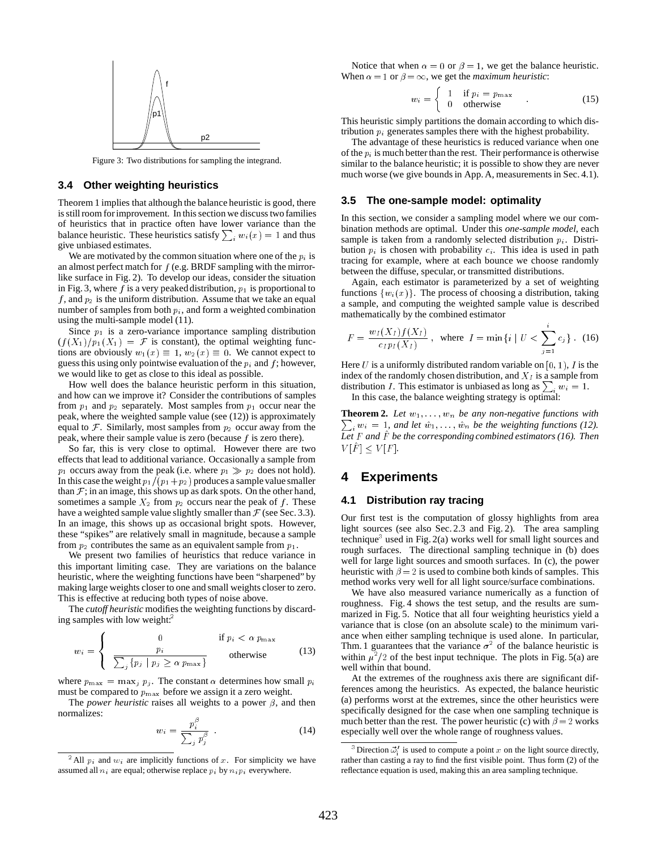

Figure 3: Two distributions for sampling the integrand.

#### **3.4 Other weighting heuristics**

Theorem 1 implies that although the balance heuristic is good, there is still room for improvement. In this section we discuss two families of heuristics that in practice often have lower variance than the balance heuristic. These heuristics satisfy  $\sum_i w_i(x) = 1$  and thus give unbiased estimates.

We are motivated by the common situation where one of the  $p_i$  is an almost perfect match for  $f$  (e.g. BRDF sampling with the mirrorlike surface in Fig. 2). To develop our ideas, consider the situation in Fig. 3, where f is a very peaked distribution,  $p_1$  is proportional to f, and  $p_2$  is the uniform distribution. Assume that we take an equal number of samples from both  $p_i$ , and form a weighted combination using the multi-sample model (11).

Since  $p_1$  is a zero-variance importance sampling distribution  $(f(X_1)/p_1(X_1))={\mathcal F}$  is constant), the optimal weighting functions are obviously  $w_1(x) \equiv 1, w_2(x) \equiv 0$ . We cannot expect to guess this using only pointwise evaluation of the  $p_i$  and  $f$ ; however, we would like to get as close to this ideal as possible.

How well does the balance heuristic perform in this situation, and how can we improve it? Consider the contributions of samples from  $p_1$  and  $p_2$  separately. Most samples from  $p_1$  occur near the peak, where the weighted sample value (see (12)) is approximately equal to F. Similarly, most samples from  $p_2$  occur away from the peak, where their sample value is zero (because f is zero there).

So far, this is very close to optimal. However there are two effects that lead to additional variance. Occasionally a sample from  $p_1$  occurs away from the peak (i.e. where  $p_1 \gg p_2$  does not hold). In this case the weight  $p_1/(p_1+p_2)$  produces a sample value smaller than  $F$ ; in an image, this shows up as dark spots. On the other hand, sometimes a sample  $X_2$  from  $p_2$  occurs near the peak of f. These have a weighted sample value slightly smaller than  $\mathcal F$  (see Sec. 3.3). In an image, this shows up as occasional bright spots. However, these "spikes" are relatively small in magnitude, because a sample from  $p_2$  contributes the same as an equivalent sample from  $p_1$ .

We present two families of heuristics that reduce variance in this important limiting case. They are variations on the balance heuristic, where the weighting functions have been "sharpened" by making large weights closer to one and small weights closer to zero. This is effective at reducing both types of noise above.

The *cutoff heuristic* modifies the weighting functions by discarding samples with low weight:<sup>2</sup>

$$
w_i = \begin{cases} 0 & \text{if } p_i < \alpha \ p_{\text{max}} \\ \frac{p_i}{\sum_j \{p_j \mid p_j \geq \alpha \ p_{\text{max}}\}} & \text{otherwise} \end{cases}
$$
(13)

where  $p_{\text{max}} = \max_j p_j$ . The constant  $\alpha$  determines how small  $p_i$ must be compared to  $p_{\text{max}}$  before we assign it a zero weight.

The *power heuristic* raises all weights to a power  $\beta$ , and then normalizes:

$$
w_i = \frac{p_i^p}{\sum_j p_j^{\beta}} \tag{14}
$$

Notice that when  $\alpha = 0$  or  $\beta = 1$ , we get the balance heuristic. When  $\alpha = 1$  or  $\beta = \infty$ , we get the *maximum heuristic*:

$$
w_i = \begin{cases} 1 & \text{if } p_i = p_{\text{max}} \\ 0 & \text{otherwise} \end{cases}
$$
 (15)

This heuristic simply partitions the domain according to which distribution  $p_i$  generates samples there with the highest probability.

The advantage of these heuristics is reduced variance when one of the  $p_i$  is much better than the rest. Their performance is otherwise similar to the balance heuristic; it is possible to show they are never much worse (we give bounds in App. A, measurements in Sec. 4.1).

### **3.5 The one-sample model: optimality**

In this section, we consider a sampling model where we our combination methods are optimal. Under this *one-sample model*, each sample is taken from a randomly selected distribution  $p_i$ . Distribution  $p_i$  is chosen with probability  $c_i$ . This idea is used in path tracing for example, where at each bounce we choose randomly between the diffuse, specular, or transmitted distributions.

Again, each estimator is parameterized by a set of weighting functions  $\{w_i(x)\}\$ . The process of choosing a distribution, taking a sample, and computing the weighted sample value is described mathematically by the combined estimator

$$
F = \frac{w_I(X_I)f(X_I)}{c_I p_I(X_I)}, \text{ where } I = \min\{i \mid U < \sum_{i=1}^{\cdot} c_j\}. \tag{16}
$$

Here U is a uniformly distributed random variable on  $[0, 1)$ , I is the index of the randomly chosen distribution, and  $X_I$  is a sample from distribution *I*. This estimator is unbiased as long as  $\sum_i w_i = 1$ .

In this case, the balance weighting strategy is optimal:

 $\sum_i w_i = 1$ , and let  $\hat{w}_1, \ldots, \hat{w}_n$  be the weighting functions (12). **Theorem 2.** Let  $w_1, \ldots, w_n$  be any non-negative functions with *Let* F *and* F^ *be the corresponding combined estimators (16). Then*  $V[F] \leq V[F]$ *.* 

# **4 Experiments**

### **4.1 Distribution ray tracing**

Our first test is the computation of glossy highlights from area light sources (see also Sec. 2.3 and Fig. 2). The area sampling technique<sup>3</sup> used in Fig. 2(a) works well for small light sources and rough surfaces. The directional sampling technique in (b) does well for large light sources and smooth surfaces. In (c), the power heuristic with  $\beta = 2$  is used to combine both kinds of samples. This method works very well for all light source/surface combinations.

We have also measured variance numerically as a function of roughness. Fig. 4 shows the test setup, and the results are summarized in Fig. 5. Notice that all four weighting heuristics yield a variance that is close (on an absolute scale) to the minimum variance when either sampling technique is used alone. In particular, Thm. 1 guarantees that the variance  $\sigma^2$  of the balance heuristic is within  $\mu^2/2$  of the best input technique. The plots in Fig. 5(a) are well within that bound.

At the extremes of the roughness axis there are significant differences among the heuristics. As expected, the balance heuristic (a) performs worst at the extremes, since the other heuristics were specifically designed for the case when one sampling technique is much better than the rest. The power heuristic (c) with  $\beta = 2$  works especially well over the whole range of roughness values.

<sup>&</sup>lt;sup>2</sup>All  $p_i$  and  $w_i$  are implicitly functions of x. For simplicity we have assumed all  $n_i$  are equal; otherwise replace  $p_i$  by  $n_i p_i$  everywhere.

<sup>&</sup>lt;sup>3</sup> Direction  $\vec{\omega}$  is used to compute a point x on the light source directly, rather than casting a ray to find the first visible point. Thus form (2) of the reflectance equation is used, making this an area sampling technique.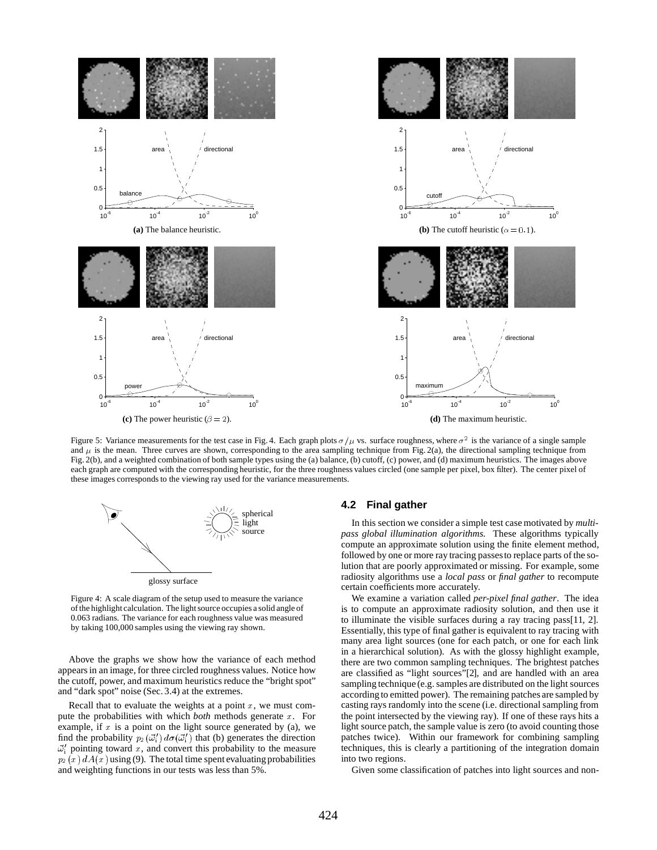

Figure 5: Variance measurements for the test case in Fig. 4. Each graph plots  $\sigma/\mu$  vs. surface roughness, where  $\sigma^2$  is the variance of a single sample and  $\mu$  is the mean. Three curves are shown, corresponding to the area sampling technique from Fig. 2(a), the directional sampling technique from Fig. 2(b), and a weighted combination of both sample types using the (a) balance, (b) cutoff, (c) power, and (d) maximum heuristics. The images above each graph are computed with the corresponding heuristic, for the three roughness values circled (one sample per pixel, box filter). The center pixel of these images corresponds to the viewing ray used for the variance measurements.



Figure 4: A scale diagram of the setup used to measure the variance of the highlight calculation. The light source occupies a solid angle of 0.063 radians. The variance for each roughness value was measured by taking 100,000 samples using the viewing ray shown.

Above the graphs we show how the variance of each method appears in an image, for three circled roughness values. Notice how the cutoff, power, and maximum heuristics reduce the "bright spot" and "dark spot" noise (Sec. 3.4) at the extremes.

Recall that to evaluate the weights at a point  $x$ , we must compute the probabilities with which *both* methods generate x. For example, if  $x$  is a point on the light source generated by (a), we find the probability  $p_2(\vec{\omega}_i') d\sigma(\vec{\omega}_i')$  that (b) generates the direction  $\vec{\omega}_i'$  pointing toward x, and convert this probability to the measure  $p_2(x) dA(x)$  using (9). The total time spent evaluating probabilities and weighting functions in our tests was less than 5%.

#### **4.2 Final gather**

In this section we consider a simple test case motivated by *multipass global illumination algorithms*. These algorithms typically compute an approximate solution using the finite element method, followed by one or more ray tracing passesto replace parts of the solution that are poorly approximated or missing. For example, some radiosity algorithms use a *local pass* or *final gather* to recompute certain coefficients more accurately.

We examine a variation called *per-pixel final gather*. The idea is to compute an approximate radiosity solution, and then use it to illuminate the visible surfaces during a ray tracing pass[11, 2]. Essentially, this type of final gather is equivalent to ray tracing with many area light sources (one for each patch, or one for each link in a hierarchical solution). As with the glossy highlight example, there are two common sampling techniques. The brightest patches are classified as "light sources"[2], and are handled with an area sampling technique (e.g. samples are distributed on the light sources according to emitted power). The remaining patches are sampled by casting rays randomly into the scene (i.e. directional sampling from the point intersected by the viewing ray). If one of these rays hits a light source patch, the sample value is zero (to avoid counting those patches twice). Within our framework for combining sampling techniques, this is clearly a partitioning of the integration domain into two regions.

Given some classification of patches into light sources and non-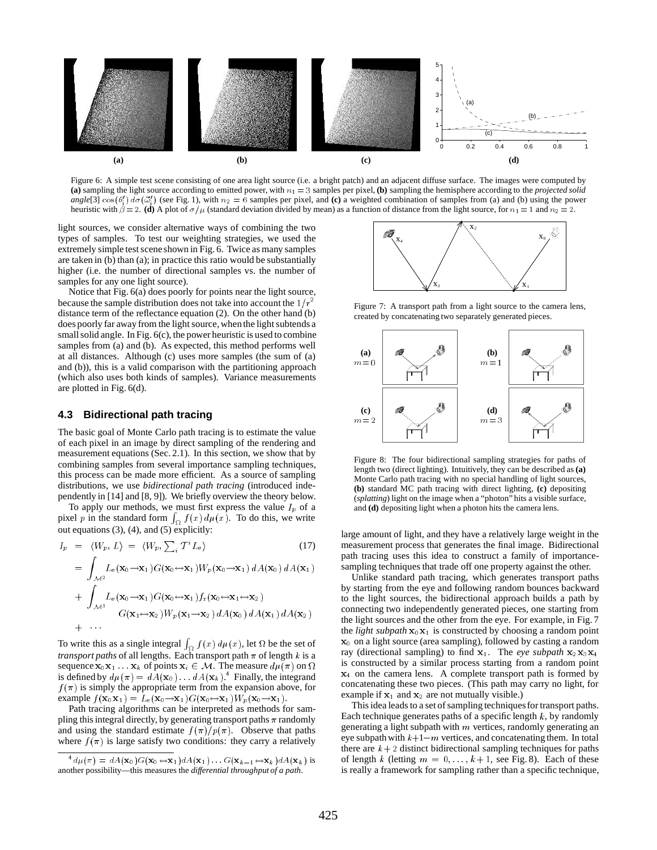

Figure 6: A simple test scene consisting of one area light source (i.e. a bright patch) and an adjacent diffuse surface. The images were computed by (a) sampling the light source according to emitted power, with  $n_1 = 3$  samples per pixel, (b) sampling the hemisphere according to the *projected solid angle*[3]  $cos(\theta_1')$   $d\sigma(\vec{\omega}_1')$  (see Fig. 1), with  $n_2 = 6$  samples per pixel, and (c) a weighted combination of samples from (a) and (b) using the power heuristic with  $\beta = 2$ . **(d)** A plot of  $\sigma/\mu$  (standard deviation divided by mean) as a function of distance from the light source, for  $n_1 = 1$  and  $n_2 = 2$ .

light sources, we consider alternative ways of combining the two types of samples. To test our weighting strategies, we used the extremely simple test sceneshown in Fig. 6. Twice as many samples are taken in (b) than (a); in practice this ratio would be substantially higher (i.e. the number of directional samples vs. the number of samples for any one light source).

Notice that Fig. 6(a) does poorly for points near the light source, because the sample distribution does not take into account the  $1/r^2$ distance term of the reflectance equation (2). On the other hand (b) does poorly far away from the light source, when the light subtends a small solid angle. In Fig. 6(c), the power heuristic is used to combine samples from (a) and (b). As expected, this method performs well at all distances. Although (c) uses more samples (the sum of (a) and (b)), this is a valid comparison with the partitioning approach (which also uses both kinds of samples). Variance measurements are plotted in Fig. 6(d).

### **4.3 Bidirectional path tracing**

the contract of the contract of the contract of the contract of the contract of the contract of the contract of

The basic goal of Monte Carlo path tracing is to estimate the value of each pixel in an image by direct sampling of the rendering and measurement equations (Sec. 2.1). In this section, we show that by combining samples from several importance sampling techniques, this process can be made more efficient. As a source of sampling distributions, we use *bidirectional path tracing* (introduced independently in [14] and [8, 9]). We briefly overview the theory below.

To apply our methods, we must first express the value  $I_p$  of a pixel p in the standard form  $\int_{\Omega} f(x) d\mu(x)$ . To do this, we write out equations (3), (4), and (5) explicitly:

$$
I_p = \langle W_p, L \rangle = \langle W_p, \sum_i T^i L_e \rangle \tag{17}
$$

$$
= \int_{\mathcal{M}^2} L_e(\mathbf{x}_0 \to \mathbf{x}_1) G(\mathbf{x}_0 \to \mathbf{x}_1) W_p(\mathbf{x}_0 \to \mathbf{x}_1) dA(\mathbf{x}_0) dA(\mathbf{x}_1)
$$
  
+ 
$$
\int_{\mathcal{M}^3} L_e(\mathbf{x}_0 \to \mathbf{x}_1) G(\mathbf{x}_0 \to \mathbf{x}_1) f_r(\mathbf{x}_0 \to \mathbf{x}_1 \to \mathbf{x}_2)
$$
  

$$
G(\mathbf{x}_1 \to \mathbf{x}_2) W_p(\mathbf{x}_1 \to \mathbf{x}_2) dA(\mathbf{x}_0) dA(\mathbf{x}_1) dA(\mathbf{x}_2)
$$

To write this as a single integral  $\int_{\Omega} f(x) d\mu(x)$ , let  $\Omega$  be the set of *transport paths* of all lengths. Each transport path  $\pi$  of length k is a sequence  $\mathbf{x}_0 \mathbf{x}_1 \dots \mathbf{x}_k$  of points  $\mathbf{x}_i \in \mathcal{M}$ . The measure  $d\mu(\pi)$  on  $\Omega$ is defined by  $d\mu(\pi) = dA(\mathbf{x}_0) \dots dA(\mathbf{x}_k)$ .<sup>4</sup> Finally, the integrand  $f(\pi)$  is simply the appropriate term from the expansion above, for example  $f(\mathbf{x}_0 \mathbf{x}_1) = L_e(\mathbf{x}_0 \rightarrow \mathbf{x}_1)G(\mathbf{x}_0 \rightarrow \mathbf{x}_1)W_p(\mathbf{x}_0 \rightarrow \mathbf{x}_1).$ 

Path tracing algorithms can be interpreted as methods for sampling this integral directly, by generating transport paths  $\pi$  randomly and using the standard estimate  $f(\pi)/p(\pi)$ . Observe that paths where  $f(\pi)$  is large satisfy two conditions: they carry a relatively



Figure 7: A transport path from a light source to the camera lens, created by concatenating two separately generated pieces.



Figure 8: The four bidirectional sampling strategies for paths of length two (direct lighting). Intuitively, they can be described as **(a)** Monte Carlo path tracing with no special handling of light sources, **(b)** standard MC path tracing with direct lighting, **(c)** depositing (*splatting*) light on the image when a "photon" hits a visible surface, and **(d)** depositing light when a photon hits the camera lens.

large amount of light, and they have a relatively large weight in the measurement process that generates the final image. Bidirectional path tracing uses this idea to construct a family of importancesampling techniques that trade off one property against the other.

Unlike standard path tracing, which generates transport paths by starting from the eye and following random bounces backward to the light sources, the bidirectional approach builds a path by connecting two independently generated pieces, one starting from the light sources and the other from the eye. For example, in Fig. 7 the *light subpath*  $x_0x_1$  is constructed by choosing a random point  $x<sub>0</sub>$  on a light source (area sampling), followed by casting a random ray (directional sampling) to find  $x_1$ . The *eye subpath*  $x_2x_3x_4$ is constructed by a similar process starting from a random point  $x<sub>4</sub>$  on the camera lens. A complete transport path is formed by concatenating these two pieces. (This path may carry no light, for example if  $x_1$  and  $x_2$  are not mutually visible.)

This idea leads to a set of sampling techniques for transport paths. Each technique generates paths of a specific length  $k$ , by randomly generating a light subpath with  $m$  vertices, randomly generating an eye subpath with  $k+1-m$  vertices, and concatenating them. In total there are  $k+2$  distinct bidirectional sampling techniques for paths of length k (letting  $m = 0, \ldots, k+1$ , see Fig. 8). Each of these is really a framework for sampling rather than a specific technique,

 ${}^4d\mu(\pi) = dA(\mathbf{x}_0)G(\mathbf{x}_0 \leftrightarrow \mathbf{x}_1)dA(\mathbf{x}_1) \dots G(\mathbf{x}_{k-1} \leftrightarrow \mathbf{x}_k)dA(\mathbf{x}_k)$  is another possibility—this measures the *differential throughput of a path*.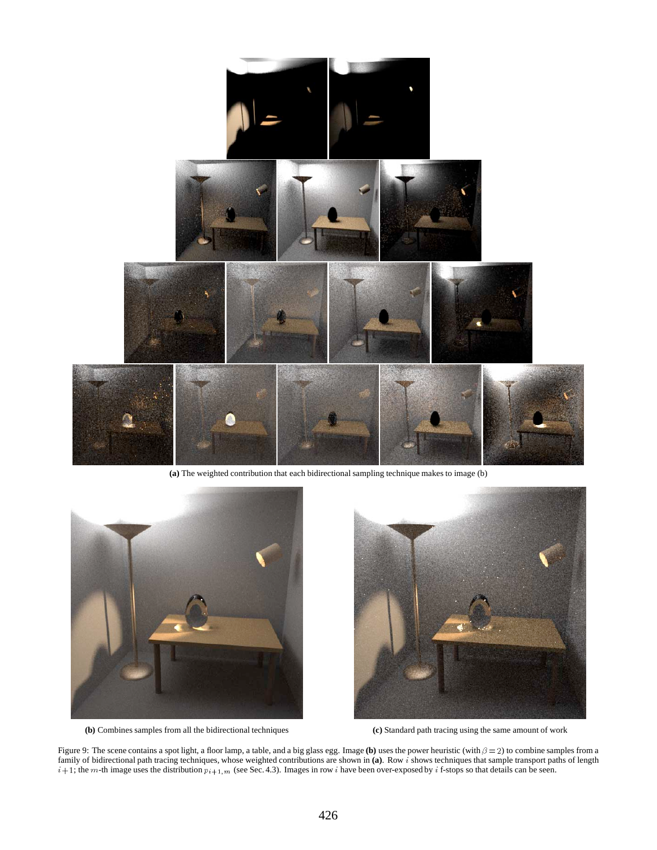

**(a)** The weighted contribution that each bidirectional sampling technique makes to image (b)



**(b)** Combines samples from all the bidirectional techniques **(c)** Standard path tracing using the same amount of work



Figure 9: The scene contains a spot light, a floor lamp, a table, and a big glass egg. Image (b) uses the power heuristic (with  $\beta = 2$ ) to combine samples from a family of bidirectional path tracing techniques, whose weighted contributions are shown in **(a)**. Row <sup>i</sup> shows techniques that sample transport paths of length  $i+1$ ; the m-th image uses the distribution  $p_{i+1,m}$  (see Sec. 4.3). Images in row i have been over-exposed by i f-stops so that details can be seen.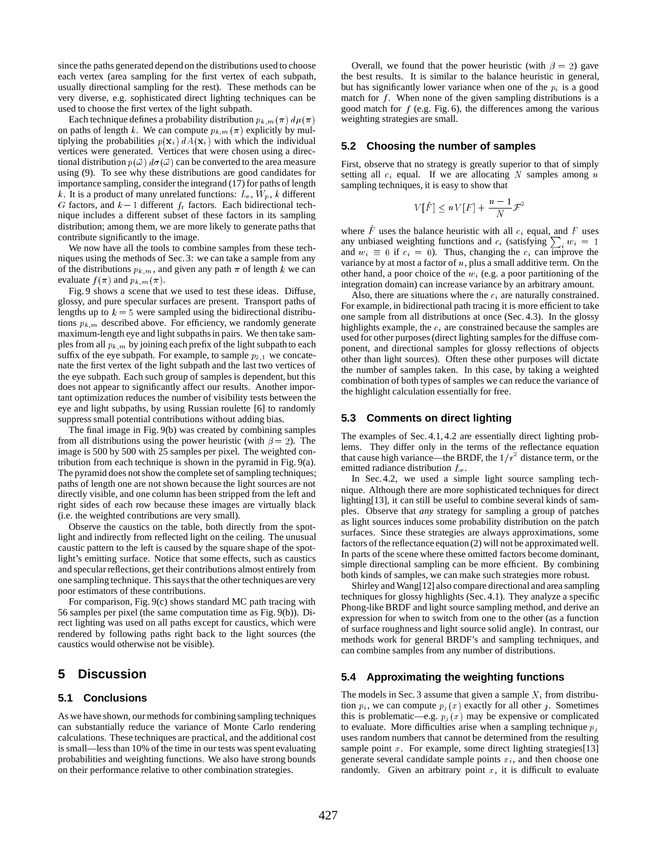since the paths generated depend on the distributions used to choose each vertex (area sampling for the first vertex of each subpath, usually directional sampling for the rest). These methods can be very diverse, e.g. sophisticated direct lighting techniques can be used to choose the first vertex of the light subpath.

Each technique defines a probability distribution  $p_{k,m}(\pi) d\mu(\pi)$ on paths of length k. We can compute  $p_{k,m}(\pi)$  explicitly by multiplying the probabilities  $p(\mathbf{x}_i) dA(\mathbf{x}_i)$  with which the individual vertices were generated. Vertices that were chosen using a directional distribution  $p(\vec{\omega}) d\sigma(\vec{\omega})$  can be converted to the area measure using (9). To see why these distributions are good candidates for importance sampling, consider the integrand (17) for paths of length k. It is a product of many unrelated functions:  $L_e$ ,  $W_p$ , k different G factors, and  $k-1$  different  $f_r$  factors. Each bidirectional technique includes a different subset of these factors in its sampling distribution; among them, we are more likely to generate paths that contribute significantly to the image.

We now have all the tools to combine samples from these techniques using the methods of Sec.3: we can take a sample from any of the distributions  $p_{k,m}$ , and given any path  $\pi$  of length k we can evaluate  $f(\pi)$  and  $p_{k,m}(\pi)$ .

Fig. 9 shows a scene that we used to test these ideas. Diffuse, glossy, and pure specular surfaces are present. Transport paths of lengths up to  $k = 5$  were sampled using the bidirectional distributions  $p_{k,m}$  described above. For efficiency, we randomly generate maximum-length eye and light subpaths in pairs. We then take samples from all  $p_{k,m}$  by joining each prefix of the light subpath to each suffix of the eye subpath. For example, to sample  $p_{2,1}$  we concatenate the first vertex of the light subpath and the last two vertices of the eye subpath. Each such group of samples is dependent, but this does not appear to significantly affect our results. Another important optimization reduces the number of visibility tests between the eye and light subpaths, by using Russian roulette [6] to randomly suppress small potential contributions without adding bias.

The final image in Fig. 9(b) was created by combining samples from all distributions using the power heuristic (with  $\beta = 2$ ). The image is 500 by 500 with 25 samples per pixel. The weighted contribution from each technique is shown in the pyramid in Fig. 9(a). The pyramid does not show the complete set of sampling techniques; paths of length one are not shown because the light sources are not directly visible, and one column has been stripped from the left and right sides of each row because these images are virtually black (i.e. the weighted contributions are very small).

Observe the caustics on the table, both directly from the spotlight and indirectly from reflected light on the ceiling. The unusual caustic pattern to the left is caused by the square shape of the spotlight's emitting surface. Notice that some effects, such as caustics and specular reflections, get their contributions almost entirely from one sampling technique. This says that the other techniques are very poor estimators of these contributions.

For comparison, Fig. 9(c) shows standard MC path tracing with 56 samples per pixel (the same computation time as Fig. 9(b)). Direct lighting was used on all paths except for caustics, which were rendered by following paths right back to the light sources (the caustics would otherwise not be visible).

### **5 Discussion**

### **5.1 Conclusions**

As we have shown, our methods for combining sampling techniques can substantially reduce the variance of Monte Carlo rendering calculations. These techniques are practical, and the additional cost is small—less than 10% of the time in our tests was spent evaluating probabilities and weighting functions. We also have strong bounds on their performance relative to other combination strategies.

Overall, we found that the power heuristic (with  $\beta = 2$ ) gave the best results. It is similar to the balance heuristic in general, but has significantly lower variance when one of the  $p_i$  is a good match for  $f$ . When none of the given sampling distributions is a good match for  $f$  (e.g. Fig. 6), the differences among the various weighting strategies are small.

### **5.2 Choosing the number of samples**

First, observe that no strategy is greatly superior to that of simply setting all  $c_i$  equal. If we are allocating N samples among n sampling techniques, it is easy to show that

$$
V[\hat{F}] \le nV[F] + \frac{n-1}{N} \mathcal{F}^2
$$

where F uses the balance heuristic with all  $c_i$  equal, and F uses any unbiased weighting functions and  $c_i$  (satisfying  $\sum_i w_i = 1$ and  $w_i \equiv 0$  if  $c_i = 0$ ). Thus, changing the  $c_i$  can improve the variance by at most a factor of  $n$ , plus a small additive term. On the other hand, a poor choice of the  $w_i$  (e.g. a poor partitioning of the integration domain) can increase variance by an arbitrary amount.

Also, there are situations where the  $c_i$  are naturally constrained. For example, in bidirectional path tracing it is more efficient to take one sample from all distributions at once (Sec. 4.3). In the glossy highlights example, the  $c_i$  are constrained because the samples are used for other purposes (direct lighting samples for the diffuse component, and directional samples for glossy reflections of objects other than light sources). Often these other purposes will dictate the number of samples taken. In this case, by taking a weighted combination of both types of samples we can reduce the variance of the highlight calculation essentially for free.

#### **5.3 Comments on direct lighting**

The examples of Sec. 4.1, 4.2 are essentially direct lighting problems. They differ only in the terms of the reflectance equation that cause high variance—the BRDF, the  $1/r^2$  distance term, or the emitted radiance distribution Le.

In Sec.4.2, we used a simple light source sampling technique. Although there are more sophisticated techniques for direct lighting[13], it can still be useful to combine several kinds of samples. Observe that *any* strategy for sampling a group of patches as light sources induces some probability distribution on the patch surfaces. Since these strategies are always approximations, some factors of the reflectance equation (2) will not be approximated well. In parts of the scene where these omitted factors become dominant, simple directional sampling can be more efficient. By combining both kinds of samples, we can make such strategies more robust.

Shirley and Wang[12] also compare directional and area sampling techniques for glossy highlights (Sec. 4.1). They analyze a specific Phong-like BRDF and light source sampling method, and derive an expression for when to switch from one to the other (as a function of surface roughness and light source solid angle). In contrast, our methods work for general BRDF's and sampling techniques, and can combine samples from any number of distributions.

### **5.4 Approximating the weighting functions**

The models in Sec. 3 assume that given a sample  $X_i$  from distribution  $p_i$ , we can compute  $p_j(x)$  exactly for all other j. Sometimes this is problematic—e.g.  $p_j(x)$  may be expensive or complicated to evaluate. More difficulties arise when a sampling technique  $p_i$ uses random numbers that cannot be determined from the resulting sample point  $x$ . For example, some direct lighting strategies [13] generate several candidate sample points  $x_i$ , and then choose one randomly. Given an arbitrary point  $x$ , it is difficult to evaluate